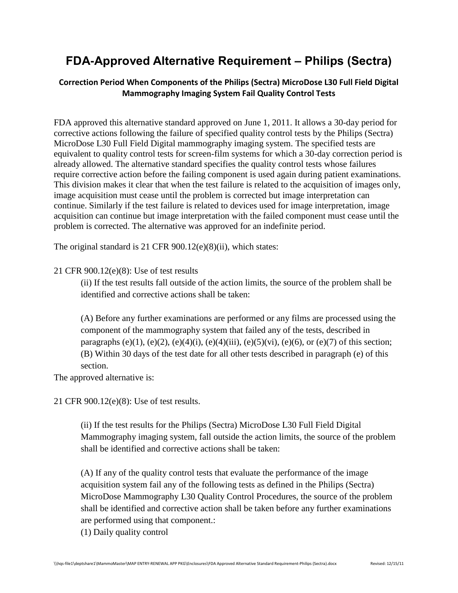## **FDA-Approved Alternative Requirement – Philips (Sectra)**

## **Correction Period When Components of the Philips (Sectra) MicroDose L30 Full Field Digital Mammography Imaging System Fail Quality Control Tests**

FDA approved this alternative standard approved on June 1, 2011. It allows a 30-day period for corrective actions following the failure of specified quality control tests by the Philips (Sectra) MicroDose L30 Full Field Digital mammography imaging system. The specified tests are equivalent to quality control tests for screen-film systems for which a 30-day correction period is already allowed. The alternative standard specifies the quality control tests whose failures require corrective action before the failing component is used again during patient examinations. This division makes it clear that when the test failure is related to the acquisition of images only, image acquisition must cease until the problem is corrected but image interpretation can continue. Similarly if the test failure is related to devices used for image interpretation, image acquisition can continue but image interpretation with the failed component must cease until the problem is corrected. The alternative was approved for an indefinite period.

The original standard is 21 CFR 900.12(e)(8)(ii), which states:

## 21 CFR 900.12(e)(8): Use of test results

(ii) If the test results fall outside of the action limits, the source of the problem shall be identified and corrective actions shall be taken:

(A) Before any further examinations are performed or any films are processed using the component of the mammography system that failed any of the tests, described in paragraphs (e)(1), (e)(2), (e)(4)(i), (e)(4)(iii), (e)(5)(vi), (e)(6), or (e)(7) of this section; (B) Within 30 days of the test date for all other tests described in paragraph (e) of this section.

The approved alternative is:

21 CFR 900.12(e)(8): Use of test results.

(ii) If the test results for the Philips (Sectra) MicroDose L30 Full Field Digital Mammography imaging system, fall outside the action limits, the source of the problem shall be identified and corrective actions shall be taken:

(A) If any of the quality control tests that evaluate the performance of the image acquisition system fail any of the following tests as defined in the Philips (Sectra) MicroDose Mammography L30 Quality Control Procedures, the source of the problem shall be identified and corrective action shall be taken before any further examinations are performed using that component.:

(1) Daily quality control